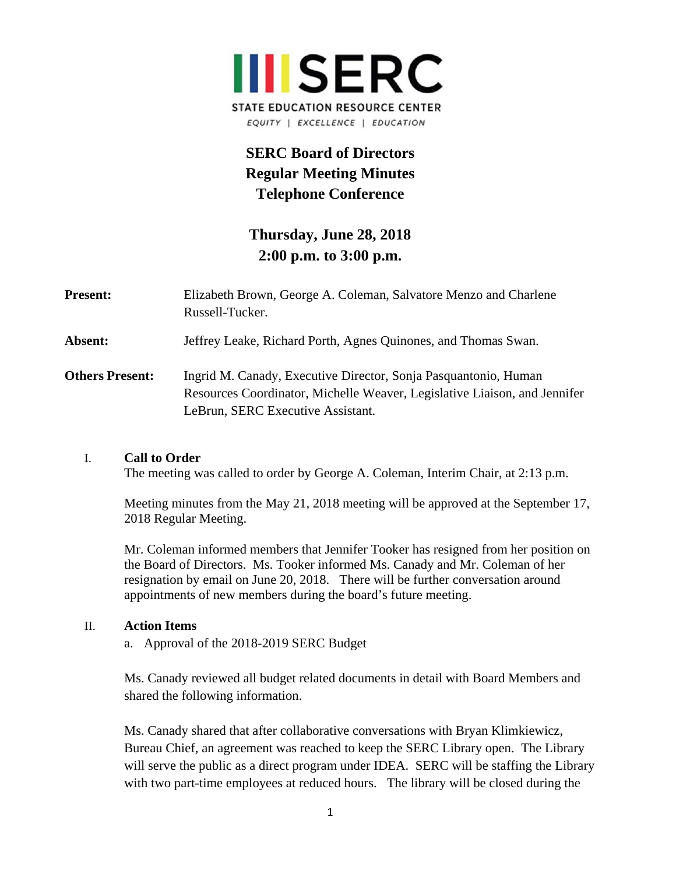

# **SERC Board of Directors Regular Meeting Minutes Telephone Conference**

## **Thursday, June 28, 2018 2:00 p.m. to 3:00 p.m.**

| <b>Present:</b>        | Elizabeth Brown, George A. Coleman, Salvatore Menzo and Charlene<br>Russell-Tucker.                                                                                               |
|------------------------|-----------------------------------------------------------------------------------------------------------------------------------------------------------------------------------|
| Absent:                | Jeffrey Leake, Richard Porth, Agnes Quinones, and Thomas Swan.                                                                                                                    |
| <b>Others Present:</b> | Ingrid M. Canady, Executive Director, Sonja Pasquantonio, Human<br>Resources Coordinator, Michelle Weaver, Legislative Liaison, and Jennifer<br>LeBrun, SERC Executive Assistant. |

## I. **Call to Order**

The meeting was called to order by George A. Coleman, Interim Chair, at 2:13 p.m.

Meeting minutes from the May 21, 2018 meeting will be approved at the September 17, 2018 Regular Meeting.

Mr. Coleman informed members that Jennifer Tooker has resigned from her position on the Board of Directors. Ms. Tooker informed Ms. Canady and Mr. Coleman of her resignation by email on June 20, 2018. There will be further conversation around appointments of new members during the board's future meeting.

## II. **Action Items**

a. Approval of the 2018-2019 SERC Budget

Ms. Canady reviewed all budget related documents in detail with Board Members and shared the following information.

Ms. Canady shared that after collaborative conversations with Bryan Klimkiewicz, Bureau Chief, an agreement was reached to keep the SERC Library open. The Library will serve the public as a direct program under IDEA. SERC will be staffing the Library with two part-time employees at reduced hours. The library will be closed during the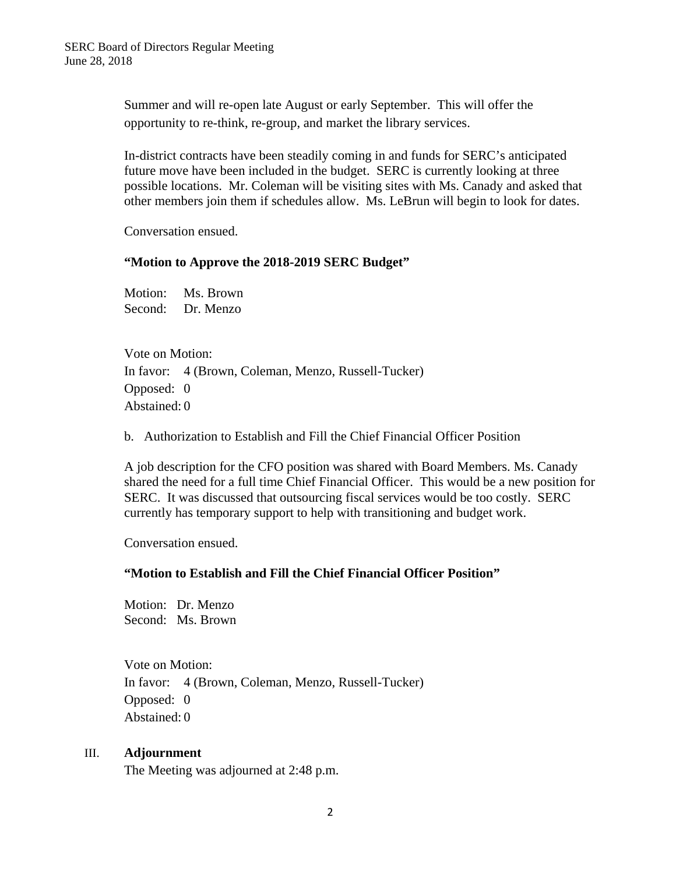Summer and will re-open late August or early September. This will offer the opportunity to re-think, re-group, and market the library services.

In-district contracts have been steadily coming in and funds for SERC's anticipated future move have been included in the budget. SERC is currently looking at three possible locations. Mr. Coleman will be visiting sites with Ms. Canady and asked that other members join them if schedules allow. Ms. LeBrun will begin to look for dates.

Conversation ensued.

#### **"Motion to Approve the 2018-2019 SERC Budget"**

Motion: Ms. Brown Second: Dr. Menzo

Vote on Motion: In favor: 4 (Brown, Coleman, Menzo, Russell-Tucker) Opposed: 0 Abstained: 0

b. Authorization to Establish and Fill the Chief Financial Officer Position

A job description for the CFO position was shared with Board Members. Ms. Canady shared the need for a full time Chief Financial Officer. This would be a new position for SERC. It was discussed that outsourcing fiscal services would be too costly. SERC currently has temporary support to help with transitioning and budget work.

Conversation ensued.

## **"Motion to Establish and Fill the Chief Financial Officer Position"**

Motion: Dr. Menzo Second: Ms. Brown

Vote on Motion: In favor: 4 (Brown, Coleman, Menzo, Russell-Tucker) Opposed: 0 Abstained: 0

### III. **Adjournment**

The Meeting was adjourned at 2:48 p.m.